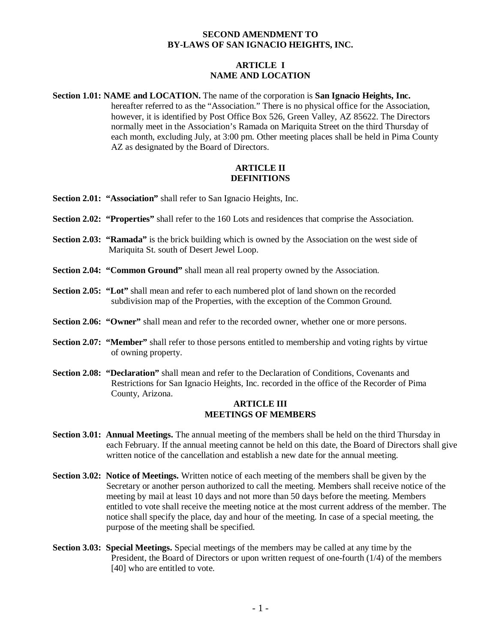# **SECOND AMENDMENT TO BY-LAWS OF SAN IGNACIO HEIGHTS, INC.**

# **ARTICLE I NAME AND LOCATION**

**Section 1.01: NAME and LOCATION.** The name of the corporation is **San Ignacio Heights, Inc.**  hereafter referred to as the "Association." There is no physical office for the Association, however, it is identified by Post Office Box 526, Green Valley, AZ 85622. The Directors normally meet in the Association's Ramada on Mariquita Street on the third Thursday of each month, excluding July, at 3:00 pm. Other meeting places shall be held in Pima County AZ as designated by the Board of Directors.

#### **ARTICLE II DEFINITIONS**

- **Section 2.01: "Association"** shall refer to San Ignacio Heights, Inc.
- **Section 2.02: "Properties"** shall refer to the 160 Lots and residences that comprise the Association.
- **Section 2.03: "Ramada"** is the brick building which is owned by the Association on the west side of Mariquita St. south of Desert Jewel Loop.
- **Section 2.04: "Common Ground"** shall mean all real property owned by the Association.
- **Section 2.05: "Lot"** shall mean and refer to each numbered plot of land shown on the recorded subdivision map of the Properties, with the exception of the Common Ground.
- **Section 2.06: "Owner"** shall mean and refer to the recorded owner, whether one or more persons.
- **Section 2.07: "Member"** shall refer to those persons entitled to membership and voting rights by virtue of owning property.
- **Section 2.08: "Declaration"** shall mean and refer to the Declaration of Conditions, Covenants and Restrictions for San Ignacio Heights, Inc. recorded in the office of the Recorder of Pima County, Arizona.

# **ARTICLE III MEETINGS OF MEMBERS**

- **Section 3.01: Annual Meetings.** The annual meeting of the members shall be held on the third Thursday in each February. If the annual meeting cannot be held on this date, the Board of Directors shall give written notice of the cancellation and establish a new date for the annual meeting.
- **Section 3.02: Notice of Meetings.** Written notice of each meeting of the members shall be given by the Secretary or another person authorized to call the meeting. Members shall receive notice of the meeting by mail at least 10 days and not more than 50 days before the meeting. Members entitled to vote shall receive the meeting notice at the most current address of the member. The notice shall specify the place, day and hour of the meeting. In case of a special meeting, the purpose of the meeting shall be specified.
- **Section 3.03: Special Meetings.** Special meetings of the members may be called at any time by the President, the Board of Directors or upon written request of one-fourth (1/4) of the members [40] who are entitled to vote.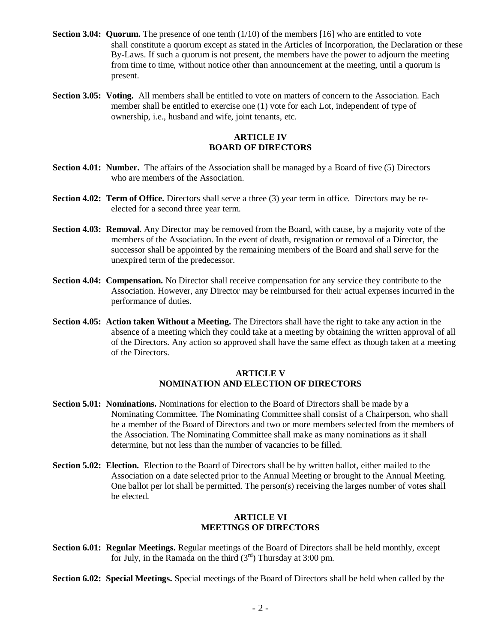- **Section 3.04: Quorum.** The presence of one tenth (1/10) of the members [16] who are entitled to vote shall constitute a quorum except as stated in the Articles of Incorporation, the Declaration or these By-Laws. If such a quorum is not present, the members have the power to adjourn the meeting from time to time, without notice other than announcement at the meeting, until a quorum is present.
- **Section 3.05: Voting.** All members shall be entitled to vote on matters of concern to the Association. Each member shall be entitled to exercise one (1) vote for each Lot, independent of type of ownership, i.e., husband and wife, joint tenants, etc.

# **ARTICLE IV BOARD OF DIRECTORS**

- **Section 4.01: Number.** The affairs of the Association shall be managed by a Board of five (5) Directors who are members of the Association.
- **Section 4.02: Term of Office.** Directors shall serve a three (3) year term in office. Directors may be reelected for a second three year term.
- **Section 4.03: Removal.** Any Director may be removed from the Board, with cause, by a majority vote of the members of the Association. In the event of death, resignation or removal of a Director, the successor shall be appointed by the remaining members of the Board and shall serve for the unexpired term of the predecessor.
- **Section 4.04: Compensation.** No Director shall receive compensation for any service they contribute to the Association. However, any Director may be reimbursed for their actual expenses incurred in the performance of duties.
- **Section 4.05: Action taken Without a Meeting.** The Directors shall have the right to take any action in the absence of a meeting which they could take at a meeting by obtaining the written approval of all of the Directors. Any action so approved shall have the same effect as though taken at a meeting of the Directors.

#### **ARTICLE V NOMINATION AND ELECTION OF DIRECTORS**

- **Section 5.01: Nominations.** Nominations for election to the Board of Directors shall be made by a Nominating Committee. The Nominating Committee shall consist of a Chairperson, who shall be a member of the Board of Directors and two or more members selected from the members of the Association. The Nominating Committee shall make as many nominations as it shall determine, but not less than the number of vacancies to be filled.
- **Section 5.02: Election.** Election to the Board of Directors shall be by written ballot, either mailed to the Association on a date selected prior to the Annual Meeting or brought to the Annual Meeting. One ballot per lot shall be permitted. The person(s) receiving the larges number of votes shall be elected.

### **ARTICLE VI MEETINGS OF DIRECTORS**

**Section 6.01: Regular Meetings.** Regular meetings of the Board of Directors shall be held monthly, except for July, in the Ramada on the third  $(3<sup>rd</sup>)$  Thursday at 3:00 pm.

**Section 6.02: Special Meetings.** Special meetings of the Board of Directors shall be held when called by the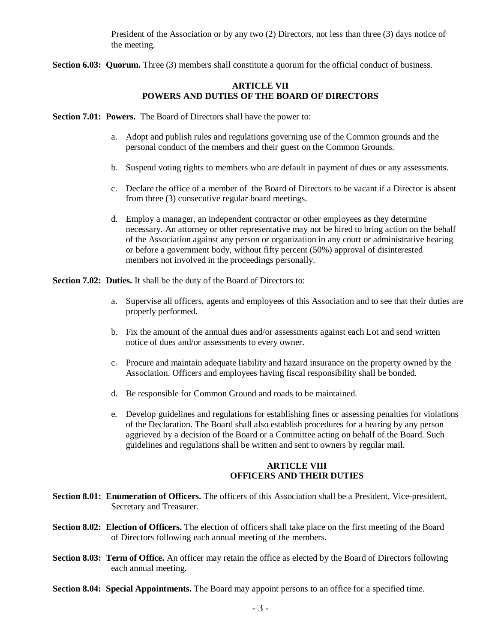President of the Association or by any two (2) Directors, not less than three (3) days notice of the meeting.

**Section 6.03: Quorum.** Three (3) members shall constitute a quorum for the official conduct of business.

# **ARTICLE VII POWERS AND DUTIES OF THE BOARD OF DIRECTORS**

**Section 7.01: Powers.** The Board of Directors shall have the power to:

- a. Adopt and publish rules and regulations governing use of the Common grounds and the personal conduct of the members and their guest on the Common Grounds.
- b. Suspend voting rights to members who are default in payment of dues or any assessments.
- c. Declare the office of a member of the Board of Directors to be vacant if a Director is absent from three (3) consecutive regular board meetings.
- d. Employ a manager, an independent contractor or other employees as they determine necessary. An attorney or other representative may not be hired to bring action on the behalf of the Association against any person or organization in any court or administrative hearing or before a government body, without fifty percent (50%) approval of disinterested members not involved in the proceedings personally.

**Section 7.02: Duties.** It shall be the duty of the Board of Directors to:

- a. Supervise all officers, agents and employees of this Association and to see that their duties are properly performed.
- b. Fix the amount of the annual dues and/or assessments against each Lot and send written notice of dues and/or assessments to every owner.
- c. Procure and maintain adequate liability and hazard insurance on the property owned by the Association. Officers and employees having fiscal responsibility shall be bonded.
- d. Be responsible for Common Ground and roads to be maintained.
- e. Develop guidelines and regulations for establishing fines or assessing penalties for violations of the Declaration. The Board shall also establish procedures for a hearing by any person aggrieved by a decision of the Board or a Committee acting on behalf of the Board. Such guidelines and regulations shall be written and sent to owners by regular mail.

# **ARTICLE VIII OFFICERS AND THEIR DUTIES**

- **Section 8.01: Enumeration of Officers.** The officers of this Association shall be a President, Vice-president, Secretary and Treasurer.
- **Section 8.02: Election of Officers.** The election of officers shall take place on the first meeting of the Board of Directors following each annual meeting of the members.
- **Section 8.03: Term of Office.** An officer may retain the office as elected by the Board of Directors following each annual meeting.
- **Section 8.04: Special Appointments.** The Board may appoint persons to an office for a specified time.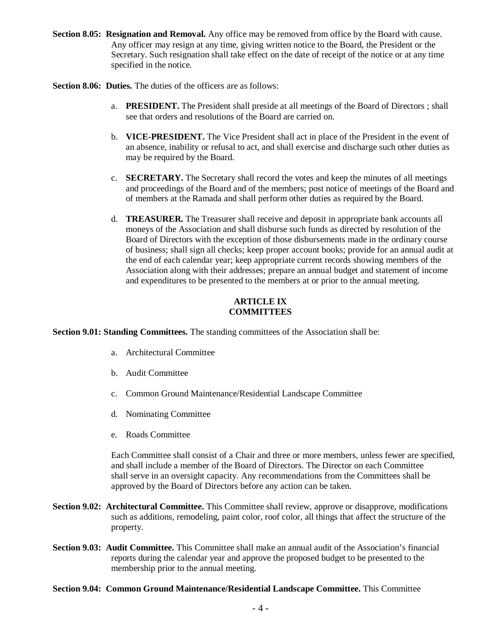**Section 8.05: Resignation and Removal.** Any office may be removed from office by the Board with cause. Any officer may resign at any time, giving written notice to the Board, the President or the Secretary. Such resignation shall take effect on the date of receipt of the notice or at any time specified in the notice.

**Section 8.06: Duties.** The duties of the officers are as follows:

- a. **PRESIDENT.** The President shall preside at all meetings of the Board of Directors ; shall see that orders and resolutions of the Board are carried on.
- b. **VICE-PRESIDENT.** The Vice President shall act in place of the President in the event of an absence, inability or refusal to act, and shall exercise and discharge such other duties as may be required by the Board.
- c. **SECRETARY.** The Secretary shall record the votes and keep the minutes of all meetings and proceedings of the Board and of the members; post notice of meetings of the Board and of members at the Ramada and shall perform other duties as required by the Board.
- d. **TREASURER.** The Treasurer shall receive and deposit in appropriate bank accounts all moneys of the Association and shall disburse such funds as directed by resolution of the Board of Directors with the exception of those disbursements made in the ordinary course of business; shall sign all checks; keep proper account books; provide for an annual audit at the end of each calendar year; keep appropriate current records showing members of the Association along with their addresses; prepare an annual budget and statement of income and expenditures to be presented to the members at or prior to the annual meeting.

# **ARTICLE IX COMMITTEES**

**Section 9.01: Standing Committees.** The standing committees of the Association shall be:

- a. Architectural Committee
- b. Audit Committee
- c. Common Ground Maintenance/Residential Landscape Committee
- d. Nominating Committee
- e. Roads Committee

Each Committee shall consist of a Chair and three or more members, unless fewer are specified, and shall include a member of the Board of Directors. The Director on each Committee shall serve in an oversight capacity. Any recommendations from the Committees shall be approved by the Board of Directors before any action can be taken.

- **Section 9.02: Architectural Committee.** This Committee shall review, approve or disapprove, modifications such as additions, remodeling, paint color, roof color, all things that affect the structure of the property.
- **Section 9.03: Audit Committee.** This Committee shall make an annual audit of the Association's financial reports during the calendar year and approve the proposed budget to be presented to the membership prior to the annual meeting.
- **Section 9.04: Common Ground Maintenance/Residential Landscape Committee.** This Committee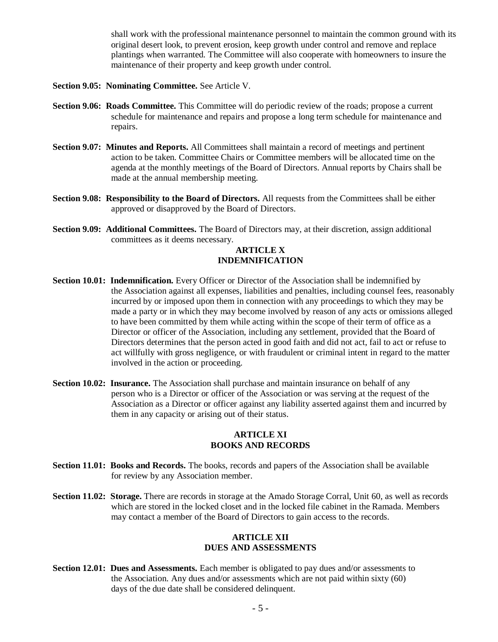shall work with the professional maintenance personnel to maintain the common ground with its original desert look, to prevent erosion, keep growth under control and remove and replace plantings when warranted. The Committee will also cooperate with homeowners to insure the maintenance of their property and keep growth under control.

- **Section 9.05: Nominating Committee.** See Article V.
- **Section 9.06: Roads Committee.** This Committee will do periodic review of the roads; propose a current schedule for maintenance and repairs and propose a long term schedule for maintenance and repairs.
- **Section 9.07: Minutes and Reports.** All Committees shall maintain a record of meetings and pertinent action to be taken. Committee Chairs or Committee members will be allocated time on the agenda at the monthly meetings of the Board of Directors. Annual reports by Chairs shall be made at the annual membership meeting.
- **Section 9.08: Responsibility to the Board of Directors.** All requests from the Committees shall be either approved or disapproved by the Board of Directors.
- **Section 9.09: Additional Committees.** The Board of Directors may, at their discretion, assign additional committees as it deems necessary.

# **ARTICLE X INDEMNIFICATION**

- **Section 10.01: Indemnification.** Every Officer or Director of the Association shall be indemnified by the Association against all expenses, liabilities and penalties, including counsel fees, reasonably incurred by or imposed upon them in connection with any proceedings to which they may be made a party or in which they may become involved by reason of any acts or omissions alleged to have been committed by them while acting within the scope of their term of office as a Director or officer of the Association, including any settlement, provided that the Board of Directors determines that the person acted in good faith and did not act, fail to act or refuse to act willfully with gross negligence, or with fraudulent or criminal intent in regard to the matter involved in the action or proceeding.
- **Section 10.02: Insurance.** The Association shall purchase and maintain insurance on behalf of any person who is a Director or officer of the Association or was serving at the request of the Association as a Director or officer against any liability asserted against them and incurred by them in any capacity or arising out of their status.

### **ARTICLE XI BOOKS AND RECORDS**

- **Section 11.01: Books and Records.** The books, records and papers of the Association shall be available for review by any Association member.
- **Section 11.02: Storage.** There are records in storage at the Amado Storage Corral, Unit 60, as well as records which are stored in the locked closet and in the locked file cabinet in the Ramada. Members may contact a member of the Board of Directors to gain access to the records.

### **ARTICLE XII DUES AND ASSESSMENTS**

**Section 12.01: Dues and Assessments.** Each member is obligated to pay dues and/or assessments to the Association. Any dues and/or assessments which are not paid within sixty (60) days of the due date shall be considered delinquent.